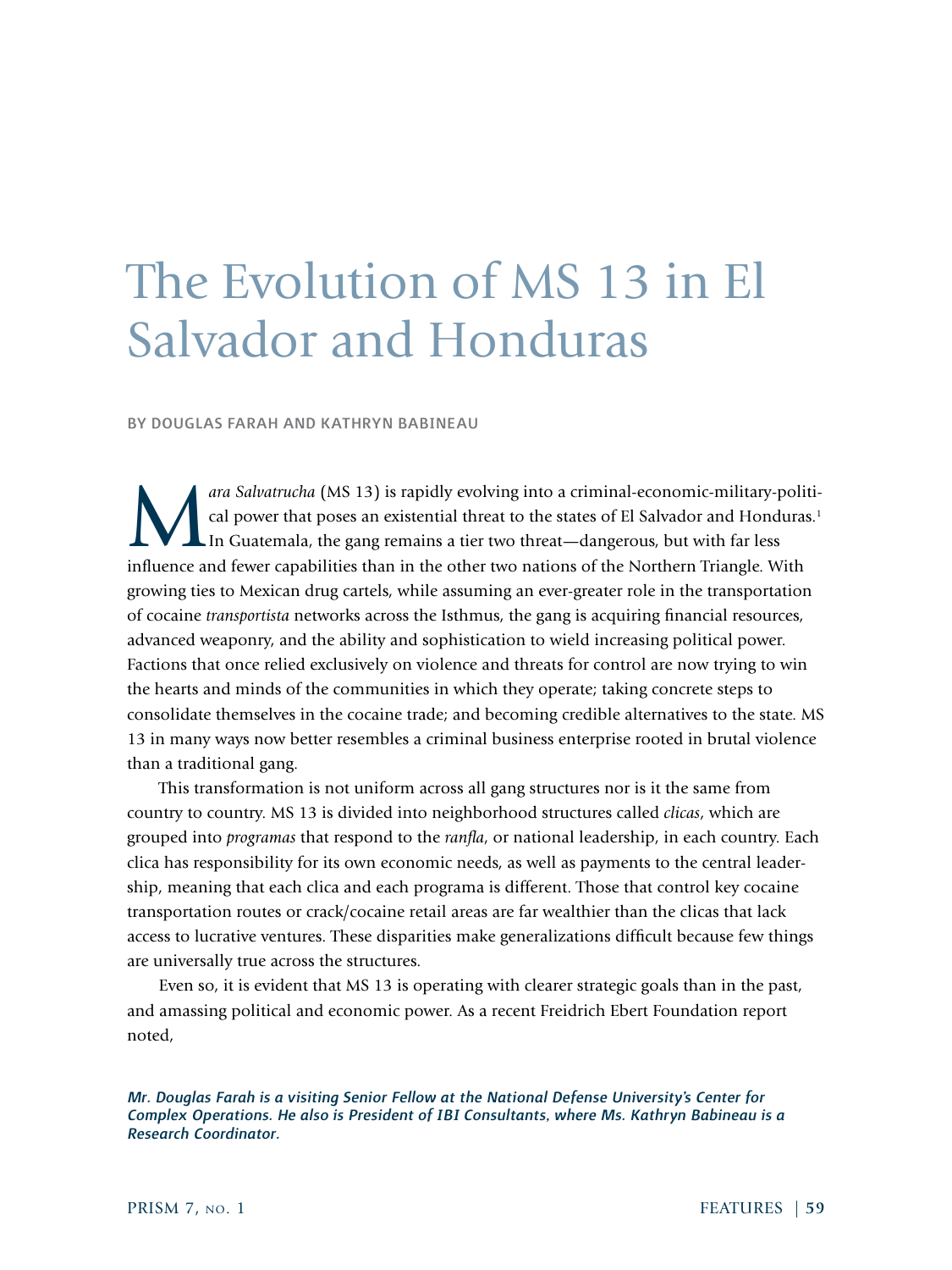# The Evolution of MS 13 in El Salvador and Honduras

BY DOUGLAS FARAH AND KATHRYN BABINEAU

*ara Salvatrucha* (MS 13) is rapidly evolving into a criminal-economic-military-political power that poses an existential threat to the states of El Salvador and Honduras.<sup>1</sup> In Guatemala, the gang remains a tier two threa cal power that poses an existential threat to the states of El Salvador and Honduras.<sup>1</sup> In Guatemala, the gang remains a tier two threat—dangerous, but with far less influence and fewer capabilities than in the other two nations of the Northern Triangle. With growing ties to Mexican drug cartels, while assuming an ever-greater role in the transportation of cocaine *transportista* networks across the Isthmus, the gang is acquiring financial resources, advanced weaponry, and the ability and sophistication to wield increasing political power. Factions that once relied exclusively on violence and threats for control are now trying to win the hearts and minds of the communities in which they operate; taking concrete steps to consolidate themselves in the cocaine trade; and becoming credible alternatives to the state. MS 13 in many ways now better resembles a criminal business enterprise rooted in brutal violence than a traditional gang.

This transformation is not uniform across all gang structures nor is it the same from country to country. MS 13 is divided into neighborhood structures called *clicas*, which are grouped into *programas* that respond to the *ranfla*, or national leadership, in each country. Each clica has responsibility for its own economic needs, as well as payments to the central leadership, meaning that each clica and each programa is different. Those that control key cocaine transportation routes or crack/cocaine retail areas are far wealthier than the clicas that lack access to lucrative ventures. These disparities make generalizations difficult because few things are universally true across the structures.

Even so, it is evident that MS 13 is operating with clearer strategic goals than in the past, and amassing political and economic power. As a recent Freidrich Ebert Foundation report noted,

*Mr. Douglas Farah is a visiting Senior Fellow at the National Defense University's Center for Complex Operations. He also is President of IBI Consultants, where Ms. Kathryn Babineau is a Research Coordinator.*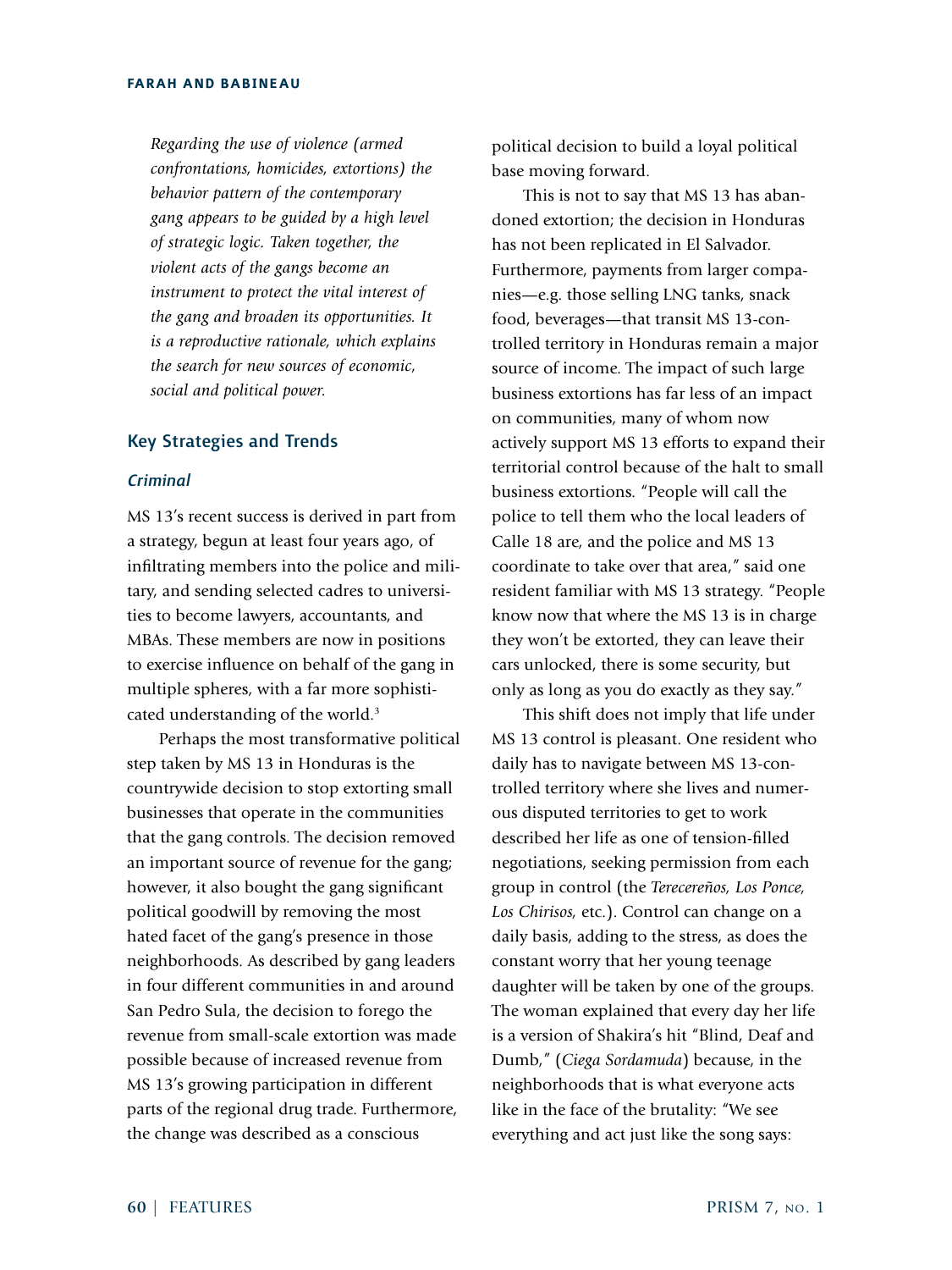*Regarding the use of violence (armed confrontations, homicides, extortions) the behavior pattern of the contemporary gang appears to be guided by a high level of strategic logic. Taken together, the violent acts of the gangs become an instrument to protect the vital interest of the gang and broaden its opportunities. It is a reproductive rationale, which explains the search for new sources of economic, social and political power.* 

#### Key Strategies and Trends

# *Criminal*

MS 13's recent success is derived in part from a strategy, begun at least four years ago, of infiltrating members into the police and military, and sending selected cadres to universities to become lawyers, accountants, and MBAs. These members are now in positions to exercise influence on behalf of the gang in multiple spheres, with a far more sophisticated understanding of the world.<sup>3</sup>

Perhaps the most transformative political step taken by MS 13 in Honduras is the countrywide decision to stop extorting small businesses that operate in the communities that the gang controls. The decision removed an important source of revenue for the gang; however, it also bought the gang significant political goodwill by removing the most hated facet of the gang's presence in those neighborhoods. As described by gang leaders in four different communities in and around San Pedro Sula, the decision to forego the revenue from small-scale extortion was made possible because of increased revenue from MS 13's growing participation in different parts of the regional drug trade. Furthermore, the change was described as a conscious

political decision to build a loyal political base moving forward.

This is not to say that MS 13 has abandoned extortion; the decision in Honduras has not been replicated in El Salvador. Furthermore, payments from larger companies—e.g. those selling LNG tanks, snack food, beverages—that transit MS 13-controlled territory in Honduras remain a major source of income. The impact of such large business extortions has far less of an impact on communities, many of whom now actively support MS 13 efforts to expand their territorial control because of the halt to small business extortions. "People will call the police to tell them who the local leaders of Calle 18 are, and the police and MS 13 coordinate to take over that area," said one resident familiar with MS 13 strategy. "People know now that where the MS 13 is in charge they won't be extorted, they can leave their cars unlocked, there is some security, but only as long as you do exactly as they say."

This shift does not imply that life under MS 13 control is pleasant. One resident who daily has to navigate between MS 13-controlled territory where she lives and numerous disputed territories to get to work described her life as one of tension-filled negotiations, seeking permission from each group in control (the *Terecereños, Los Ponce, Los Chirisos,* etc.). Control can change on a daily basis, adding to the stress, as does the constant worry that her young teenage daughter will be taken by one of the groups. The woman explained that every day her life is a version of Shakira's hit "Blind, Deaf and Dumb," (*Ciega Sordamuda*) because, in the neighborhoods that is what everyone acts like in the face of the brutality: "We see everything and act just like the song says: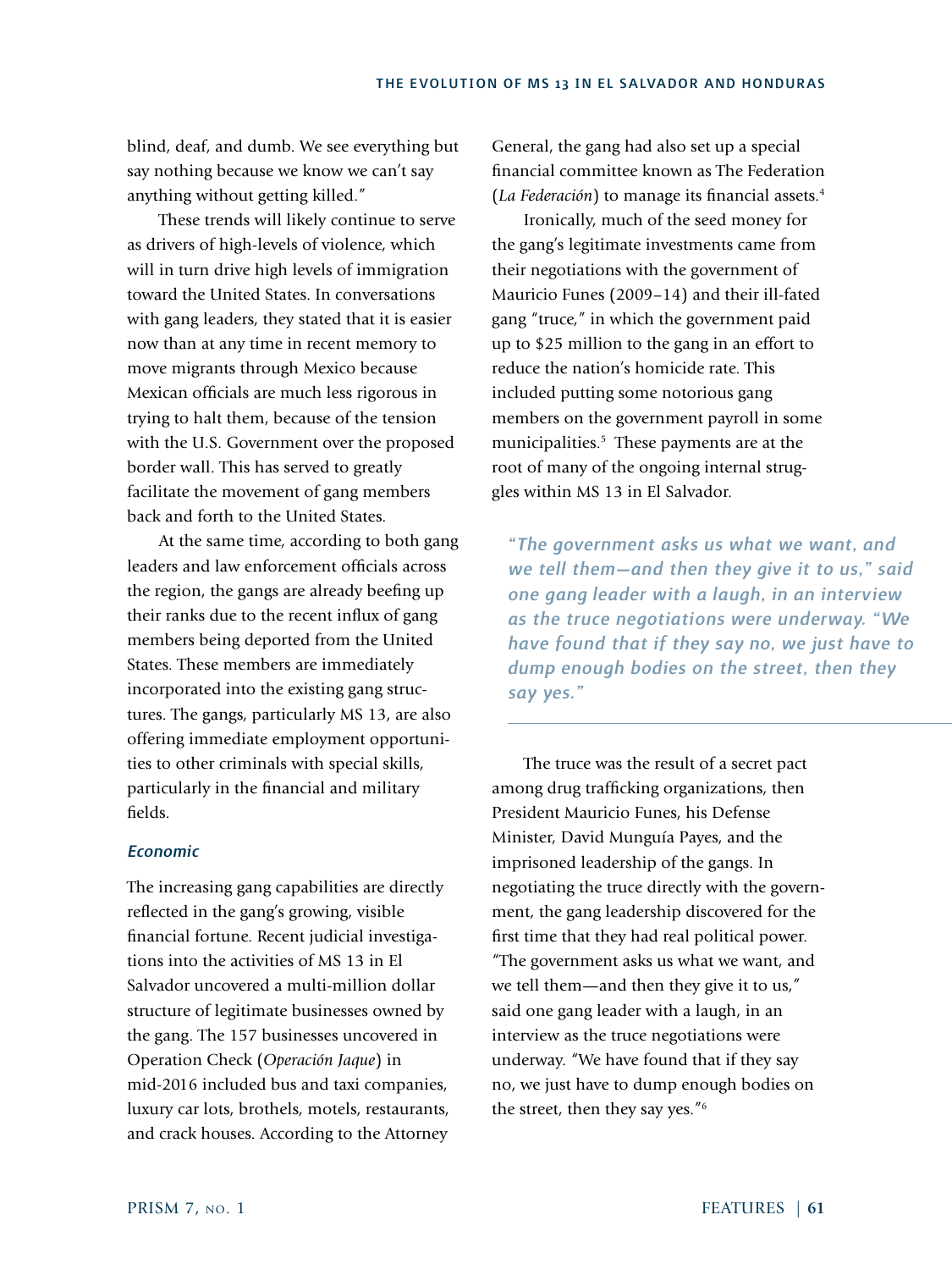blind, deaf, and dumb. We see everything but say nothing because we know we can't say anything without getting killed."

These trends will likely continue to serve as drivers of high-levels of violence, which will in turn drive high levels of immigration toward the United States. In conversations with gang leaders, they stated that it is easier now than at any time in recent memory to move migrants through Mexico because Mexican officials are much less rigorous in trying to halt them, because of the tension with the U.S. Government over the proposed border wall. This has served to greatly facilitate the movement of gang members back and forth to the United States.

At the same time, according to both gang leaders and law enforcement officials across the region, the gangs are already beefing up their ranks due to the recent influx of gang members being deported from the United States. These members are immediately incorporated into the existing gang structures. The gangs, particularly MS 13, are also offering immediate employment opportunities to other criminals with special skills, particularly in the financial and military fields.

## *Economic*

The increasing gang capabilities are directly reflected in the gang's growing, visible financial fortune. Recent judicial investigations into the activities of MS 13 in El Salvador uncovered a multi-million dollar structure of legitimate businesses owned by the gang. The 157 businesses uncovered in Operation Check (*Operación Jaque*) in mid-2016 included bus and taxi companies, luxury car lots, brothels, motels, restaurants, and crack houses. According to the Attorney General, the gang had also set up a special financial committee known as The Federation (*La Federación*) to manage its financial assets.4

Ironically, much of the seed money for the gang's legitimate investments came from their negotiations with the government of Mauricio Funes (2009–14) and their ill-fated gang "truce," in which the government paid up to \$25 million to the gang in an effort to reduce the nation's homicide rate. This included putting some notorious gang members on the government payroll in some municipalities.<sup>5</sup> These payments are at the root of many of the ongoing internal struggles within MS 13 in El Salvador.

*"The government asks us what we want, and we tell them—and then they give it to us," said one gang leader with a laugh, in an interview as the truce negotiations were underway. "We have found that if they say no, we just have to dump enough bodies on the street, then they say yes."*

The truce was the result of a secret pact among drug trafficking organizations, then President Mauricio Funes, his Defense Minister, David Munguía Payes, and the imprisoned leadership of the gangs. In negotiating the truce directly with the government, the gang leadership discovered for the first time that they had real political power. "The government asks us what we want, and we tell them—and then they give it to us," said one gang leader with a laugh, in an interview as the truce negotiations were underway. "We have found that if they say no, we just have to dump enough bodies on the street, then they say yes."6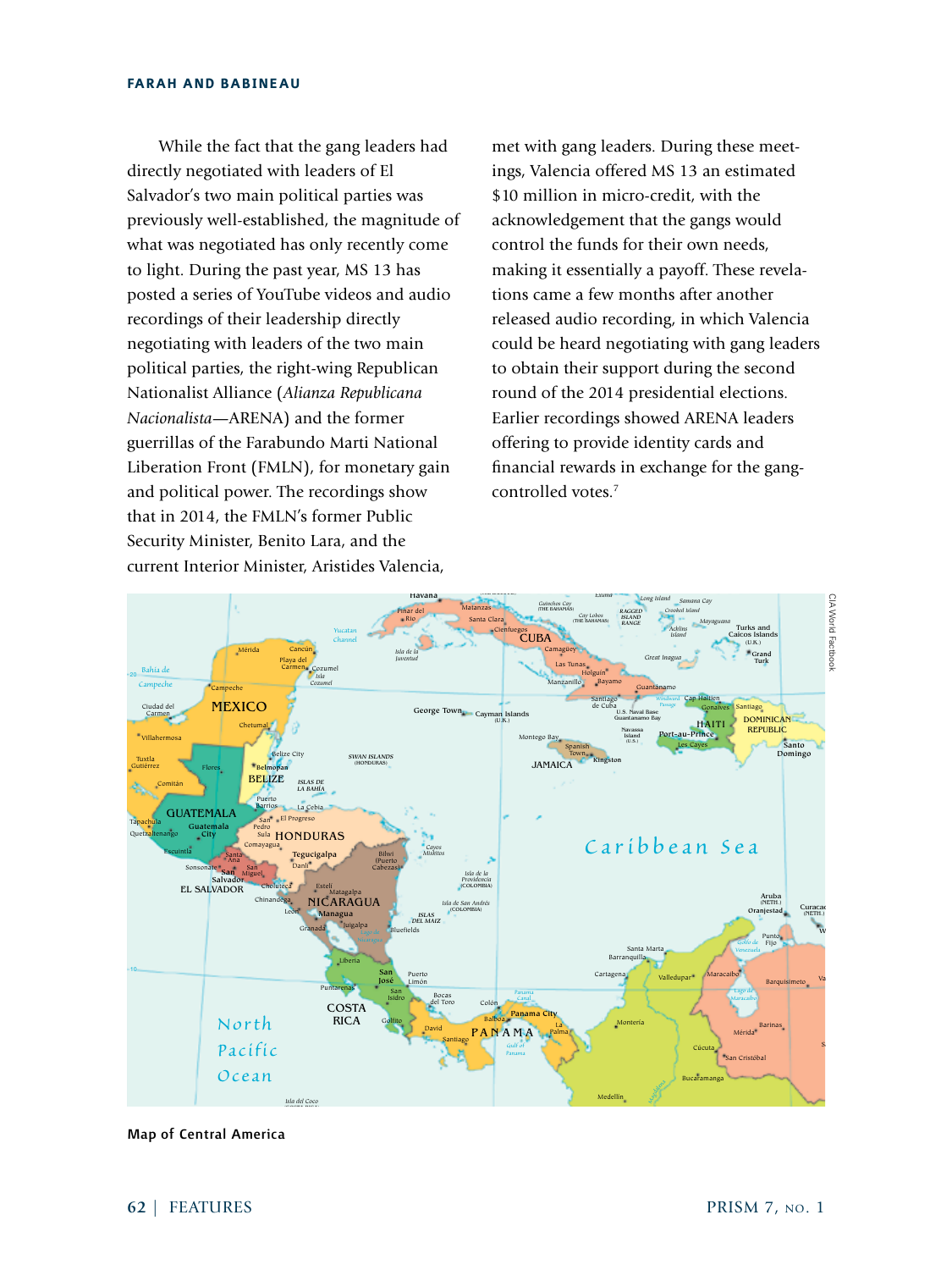While the fact that the gang leaders had directly negotiated with leaders of El Salvador's two main political parties was previously well-established, the magnitude of what was negotiated has only recently come to light. During the past year, MS 13 has posted a series of YouTube videos and audio recordings of their leadership directly negotiating with leaders of the two main political parties, the right-wing Republican Nationalist Alliance (*Alianza Republicana Nacionalista*—ARENA) and the former guerrillas of the Farabundo Marti National Liberation Front (FMLN), for monetary gain and political power. The recordings show that in 2014, the FMLN's former Public Security Minister, Benito Lara, and the current Interior Minister, Aristides Valencia, STATES

met with gang leaders. During these meetings, Valencia offered MS 13 an estimated \$10 million in micro-credit, with the acknowledgement that the gangs would control the funds for their own needs, making it essentially a payoff. These revelations came a few months after another released audio recording, in which Valencia could be heard negotiating with gang leaders to obtain their support during the second round of the 2014 presidential elections. Earlier recordings showed ARENA leaders expect Farabundo Marti National and feeling to provide identity cards and intervals and the Farabundo Marti National financial rewards in exchange for the gangcontrolled votes.7 *Grand Bahama Great*



Map of Central America *Lambert Conformal Conic Projection, standard parallels 7°N and 24° N*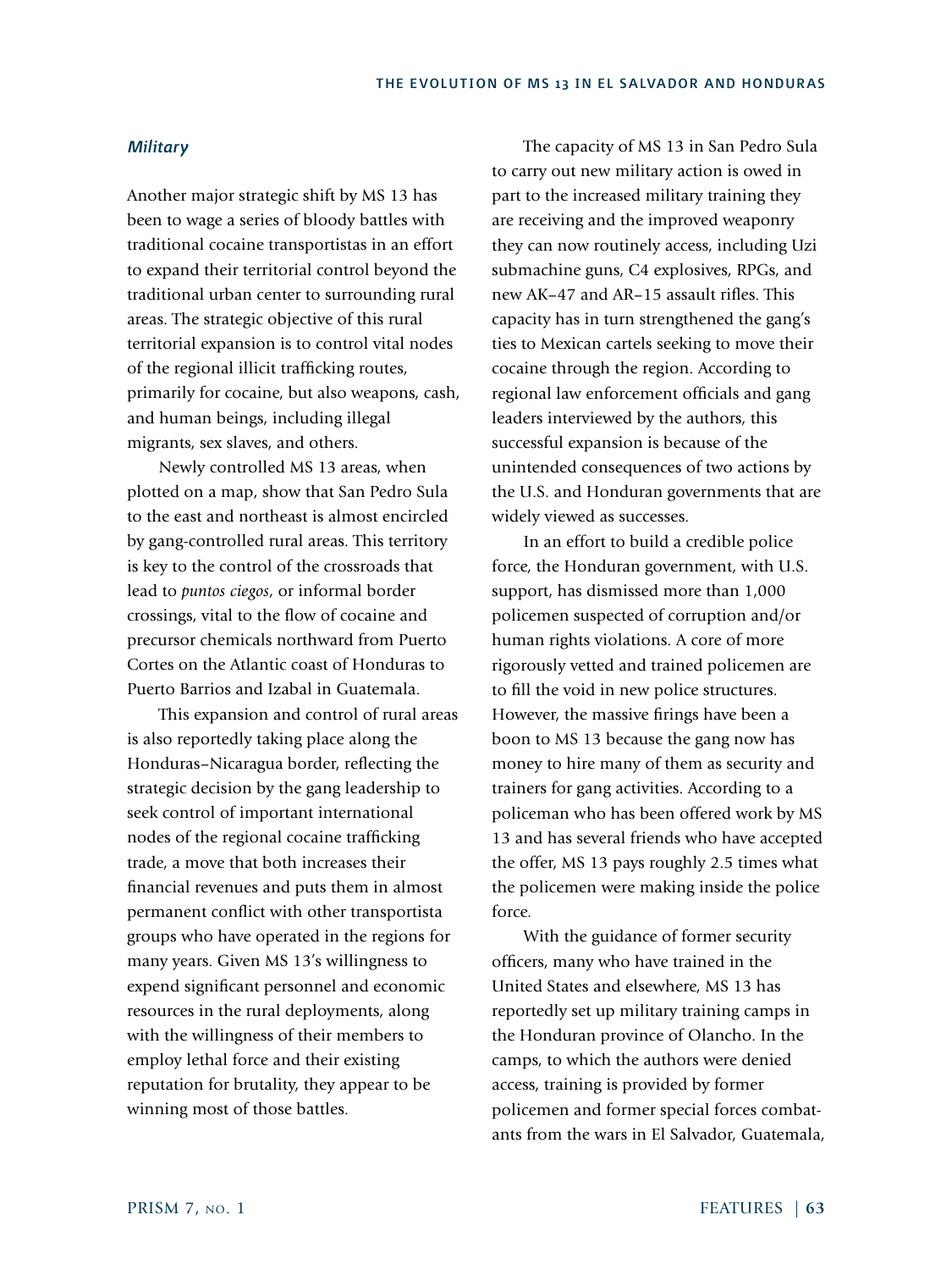## *Military*

Another major strategic shift by MS 13 has been to wage a series of bloody battles with traditional cocaine transportistas in an effort to expand their territorial control beyond the traditional urban center to surrounding rural areas. The strategic objective of this rural territorial expansion is to control vital nodes of the regional illicit trafficking routes, primarily for cocaine, but also weapons, cash, and human beings, including illegal migrants, sex slaves, and others.

Newly controlled MS 13 areas, when plotted on a map, show that San Pedro Sula to the east and northeast is almost encircled by gang-controlled rural areas. This territory is key to the control of the crossroads that lead to *puntos ciegos*, or informal border crossings, vital to the flow of cocaine and precursor chemicals northward from Puerto Cortes on the Atlantic coast of Honduras to Puerto Barrios and Izabal in Guatemala.

This expansion and control of rural areas is also reportedly taking place along the Honduras–Nicaragua border, reflecting the strategic decision by the gang leadership to seek control of important international nodes of the regional cocaine trafficking trade, a move that both increases their financial revenues and puts them in almost permanent conflict with other transportista groups who have operated in the regions for many years. Given MS 13's willingness to expend significant personnel and economic resources in the rural deployments, along with the willingness of their members to employ lethal force and their existing reputation for brutality, they appear to be winning most of those battles.

The capacity of MS 13 in San Pedro Sula to carry out new military action is owed in part to the increased military training they are receiving and the improved weaponry they can now routinely access, including Uzi submachine guns, C4 explosives, RPGs, and new AK–47 and AR–15 assault rifles. This capacity has in turn strengthened the gang's ties to Mexican cartels seeking to move their cocaine through the region. According to regional law enforcement officials and gang leaders interviewed by the authors, this successful expansion is because of the unintended consequences of two actions by the U.S. and Honduran governments that are widely viewed as successes.

In an effort to build a credible police force, the Honduran government, with U.S. support, has dismissed more than 1,000 policemen suspected of corruption and/or human rights violations. A core of more rigorously vetted and trained policemen are to fill the void in new police structures. However, the massive firings have been a boon to MS 13 because the gang now has money to hire many of them as security and trainers for gang activities. According to a policeman who has been offered work by MS 13 and has several friends who have accepted the offer, MS 13 pays roughly 2.5 times what the policemen were making inside the police force.

With the guidance of former security officers, many who have trained in the United States and elsewhere, MS 13 has reportedly set up military training camps in the Honduran province of Olancho. In the camps, to which the authors were denied access, training is provided by former policemen and former special forces combatants from the wars in El Salvador, Guatemala,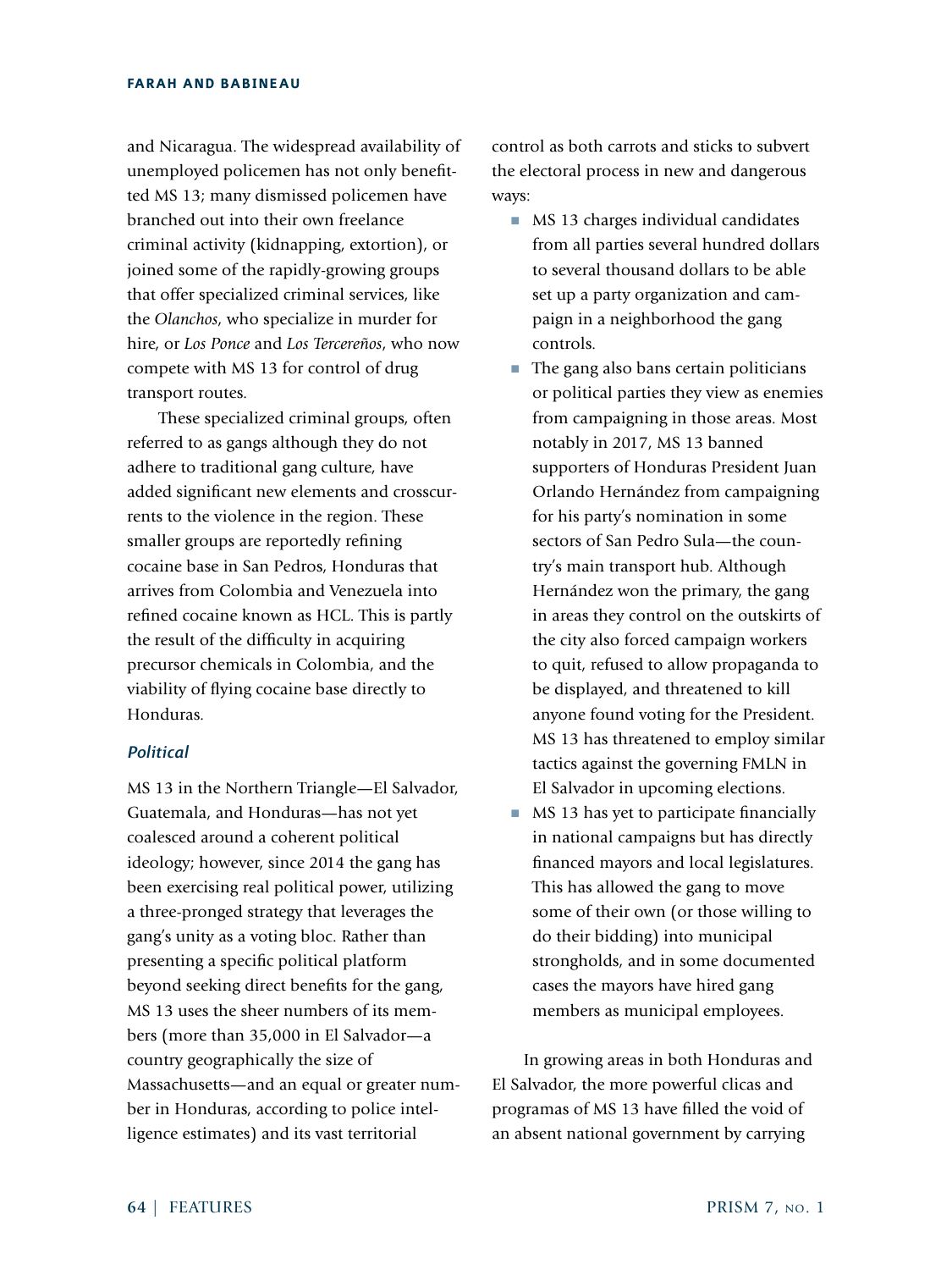and Nicaragua. The widespread availability of unemployed policemen has not only benefitted MS 13; many dismissed policemen have branched out into their own freelance criminal activity (kidnapping, extortion), or joined some of the rapidly-growing groups that offer specialized criminal services, like the *Olanchos*, who specialize in murder for hire, or *Los Ponce* and *Los Tercereños*, who now compete with MS 13 for control of drug transport routes.

These specialized criminal groups, often referred to as gangs although they do not adhere to traditional gang culture, have added significant new elements and crosscurrents to the violence in the region. These smaller groups are reportedly refining cocaine base in San Pedros, Honduras that arrives from Colombia and Venezuela into refined cocaine known as HCL. This is partly the result of the difficulty in acquiring precursor chemicals in Colombia, and the viability of flying cocaine base directly to Honduras.

# *Political*

MS 13 in the Northern Triangle—El Salvador, Guatemala, and Honduras—has not yet coalesced around a coherent political ideology; however, since 2014 the gang has been exercising real political power, utilizing a three-pronged strategy that leverages the gang's unity as a voting bloc. Rather than presenting a specific political platform beyond seeking direct benefits for the gang, MS 13 uses the sheer numbers of its members (more than 35,000 in El Salvador—a country geographically the size of Massachusetts—and an equal or greater number in Honduras, according to police intelligence estimates) and its vast territorial

control as both carrots and sticks to subvert the electoral process in new and dangerous ways:

- MS 13 charges individual candidates from all parties several hundred dollars to several thousand dollars to be able set up a party organization and campaign in a neighborhood the gang controls.
- The gang also bans certain politicians or political parties they view as enemies from campaigning in those areas. Most notably in 2017, MS 13 banned supporters of Honduras President Juan Orlando Hernández from campaigning for his party's nomination in some sectors of San Pedro Sula—the country's main transport hub. Although Hernández won the primary, the gang in areas they control on the outskirts of the city also forced campaign workers to quit, refused to allow propaganda to be displayed, and threatened to kill anyone found voting for the President. MS 13 has threatened to employ similar tactics against the governing FMLN in El Salvador in upcoming elections.
- MS 13 has yet to participate financially in national campaigns but has directly financed mayors and local legislatures. This has allowed the gang to move some of their own (or those willing to do their bidding) into municipal strongholds, and in some documented cases the mayors have hired gang members as municipal employees.

In growing areas in both Honduras and El Salvador, the more powerful clicas and programas of MS 13 have filled the void of an absent national government by carrying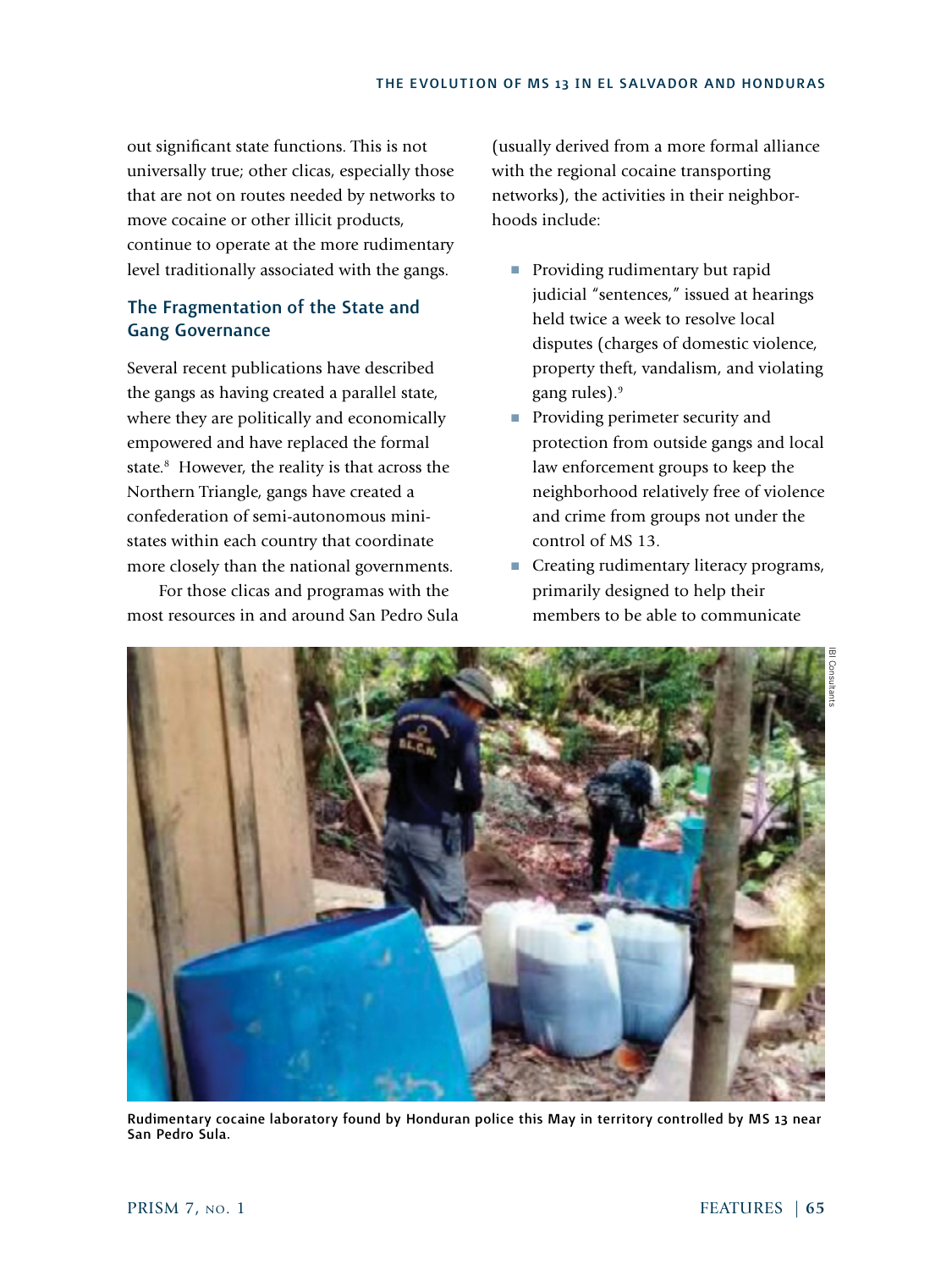out significant state functions. This is not universally true; other clicas, especially those that are not on routes needed by networks to move cocaine or other illicit products, continue to operate at the more rudimentary level traditionally associated with the gangs.

# The Fragmentation of the State and Gang Governance

Several recent publications have described the gangs as having created a parallel state, where they are politically and economically empowered and have replaced the formal state.<sup>8</sup> However, the reality is that across the Northern Triangle, gangs have created a confederation of semi-autonomous ministates within each country that coordinate more closely than the national governments.

For those clicas and programas with the most resources in and around San Pedro Sula

(usually derived from a more formal alliance with the regional cocaine transporting networks), the activities in their neighborhoods include:

- Providing rudimentary but rapid judicial "sentences," issued at hearings held twice a week to resolve local disputes (charges of domestic violence, property theft, vandalism, and violating gang rules).<sup>9</sup>
- Providing perimeter security and protection from outside gangs and local law enforcement groups to keep the neighborhood relatively free of violence and crime from groups not under the control of MS 13.
- Creating rudimentary literacy programs, primarily designed to help their members to be able to communicate



Rudimentary cocaine laboratory found by Honduran police this May in territory controlled by MS 13 near San Pedro Sula.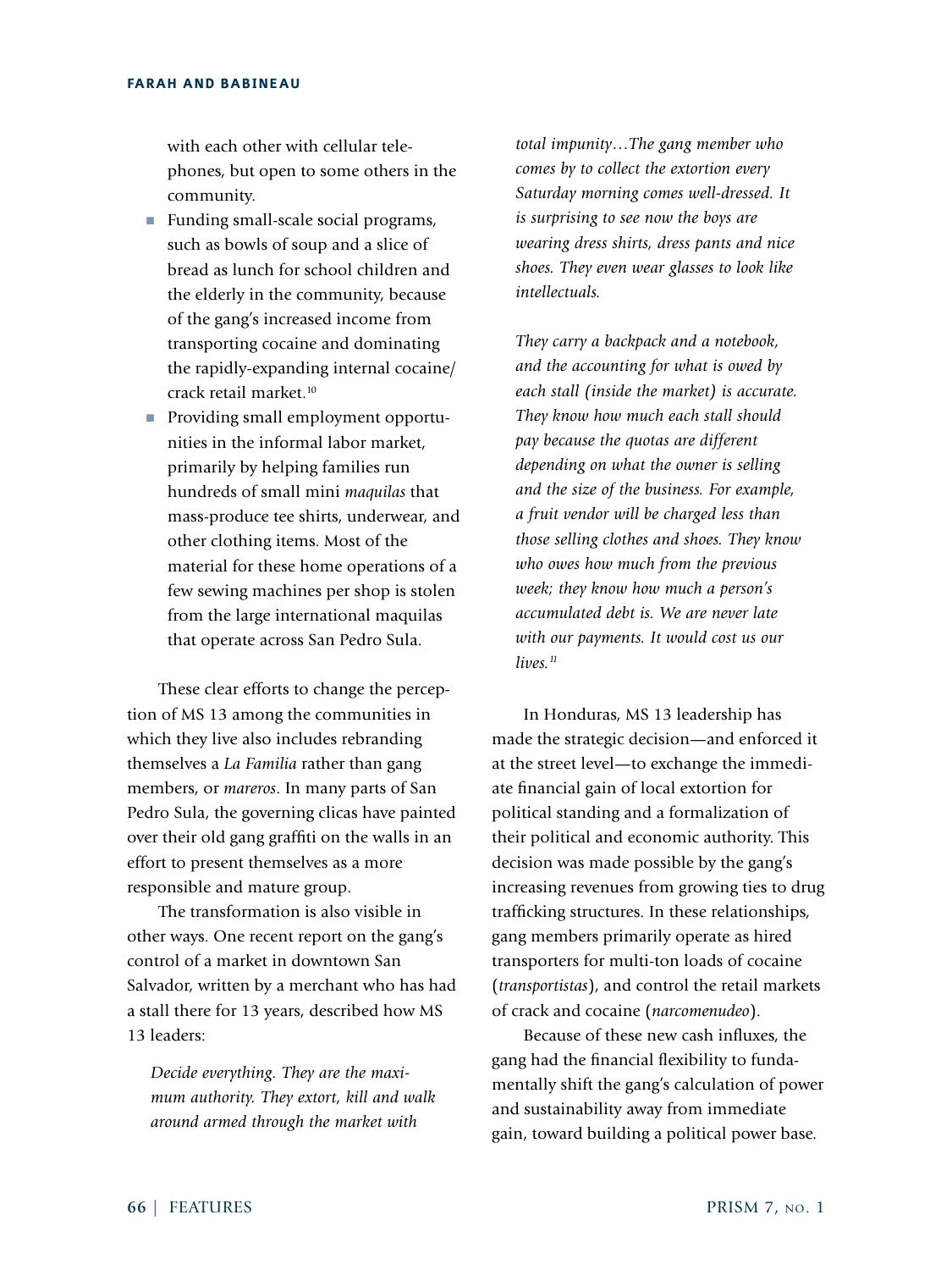with each other with cellular telephones, but open to some others in the community.

- Funding small-scale social programs, such as bowls of soup and a slice of bread as lunch for school children and the elderly in the community, because of the gang's increased income from transporting cocaine and dominating the rapidly-expanding internal cocaine/ crack retail market.<sup>10</sup>
- Providing small employment opportunities in the informal labor market, primarily by helping families run hundreds of small mini *maquilas* that mass-produce tee shirts, underwear, and other clothing items. Most of the material for these home operations of a few sewing machines per shop is stolen from the large international maquilas that operate across San Pedro Sula.

These clear efforts to change the perception of MS 13 among the communities in which they live also includes rebranding themselves a *La Familia* rather than gang members, or *mareros*. In many parts of San Pedro Sula, the governing clicas have painted over their old gang graffiti on the walls in an effort to present themselves as a more responsible and mature group.

The transformation is also visible in other ways. One recent report on the gang's control of a market in downtown San Salvador, written by a merchant who has had a stall there for 13 years, described how MS 13 leaders:

*Decide everything. They are the maximum authority. They extort, kill and walk around armed through the market with* 

*total impunity…The gang member who comes by to collect the extortion every Saturday morning comes well-dressed. It is surprising to see now the boys are wearing dress shirts, dress pants and nice shoes. They even wear glasses to look like intellectuals.* 

*They carry a backpack and a notebook, and the accounting for what is owed by each stall (inside the market) is accurate. They know how much each stall should pay because the quotas are different depending on what the owner is selling and the size of the business. For example, a fruit vendor will be charged less than those selling clothes and shoes. They know who owes how much from the previous week; they know how much a person's accumulated debt is. We are never late with our payments. It would cost us our lives.11*

In Honduras, MS 13 leadership has made the strategic decision—and enforced it at the street level—to exchange the immediate financial gain of local extortion for political standing and a formalization of their political and economic authority. This decision was made possible by the gang's increasing revenues from growing ties to drug trafficking structures. In these relationships, gang members primarily operate as hired transporters for multi-ton loads of cocaine (*transportistas*), and control the retail markets of crack and cocaine (*narcomenudeo*).

Because of these new cash influxes, the gang had the financial flexibility to fundamentally shift the gang's calculation of power and sustainability away from immediate gain, toward building a political power base.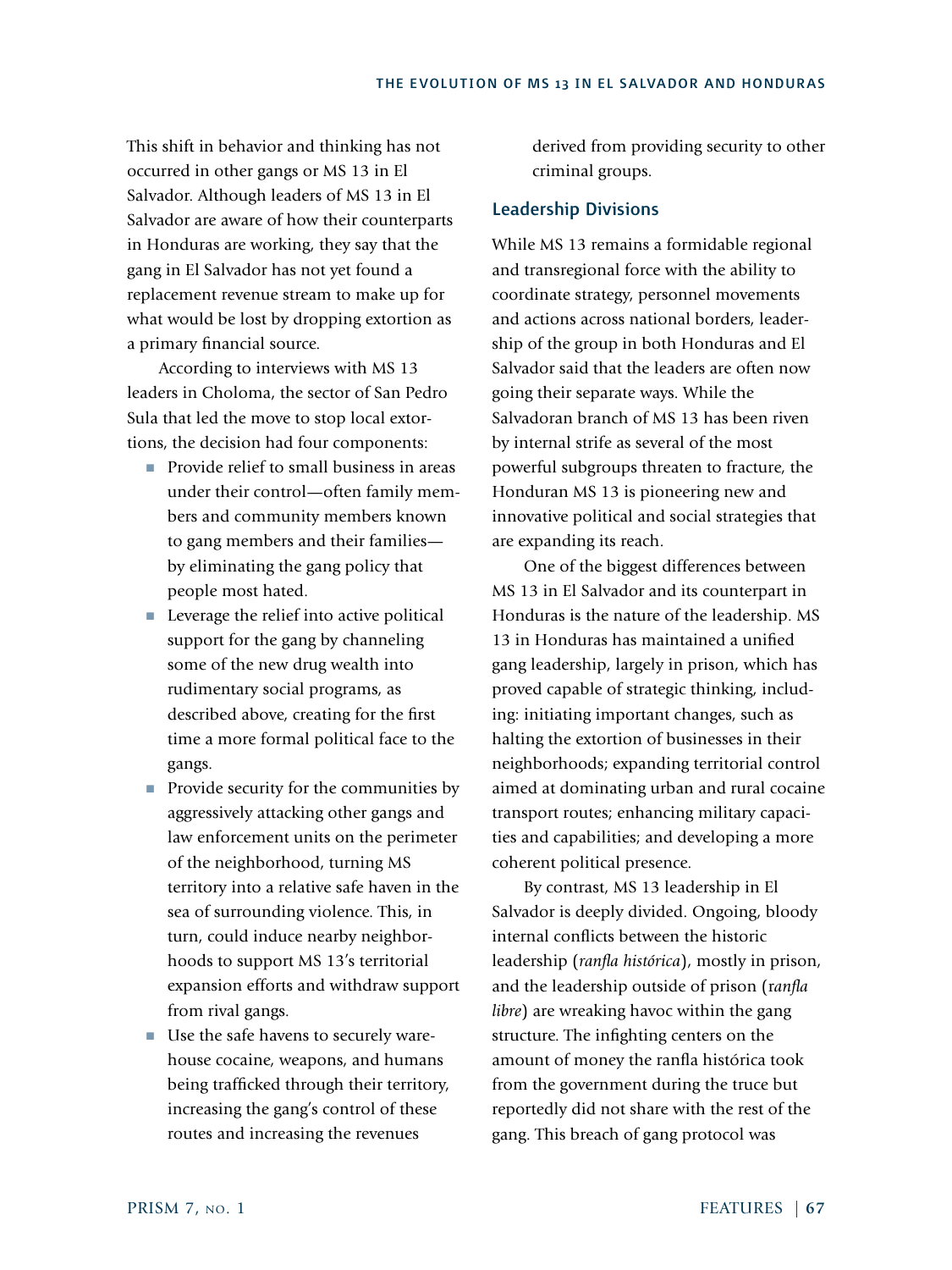This shift in behavior and thinking has not occurred in other gangs or MS 13 in El Salvador. Although leaders of MS 13 in El Salvador are aware of how their counterparts in Honduras are working, they say that the gang in El Salvador has not yet found a replacement revenue stream to make up for what would be lost by dropping extortion as a primary financial source.

According to interviews with MS 13 leaders in Choloma, the sector of San Pedro Sula that led the move to stop local extortions, the decision had four components:

- Provide relief to small business in areas under their control—often family members and community members known to gang members and their families by eliminating the gang policy that people most hated.
- Leverage the relief into active political support for the gang by channeling some of the new drug wealth into rudimentary social programs, as described above, creating for the first time a more formal political face to the gangs.
- Provide security for the communities by aggressively attacking other gangs and law enforcement units on the perimeter of the neighborhood, turning MS territory into a relative safe haven in the sea of surrounding violence. This, in turn, could induce nearby neighborhoods to support MS 13's territorial expansion efforts and withdraw support from rival gangs.
- Use the safe havens to securely warehouse cocaine, weapons, and humans being trafficked through their territory, increasing the gang's control of these routes and increasing the revenues

derived from providing security to other criminal groups.

# Leadership Divisions

While MS 13 remains a formidable regional and transregional force with the ability to coordinate strategy, personnel movements and actions across national borders, leadership of the group in both Honduras and El Salvador said that the leaders are often now going their separate ways. While the Salvadoran branch of MS 13 has been riven by internal strife as several of the most powerful subgroups threaten to fracture, the Honduran MS 13 is pioneering new and innovative political and social strategies that are expanding its reach.

One of the biggest differences between MS 13 in El Salvador and its counterpart in Honduras is the nature of the leadership. MS 13 in Honduras has maintained a unified gang leadership, largely in prison, which has proved capable of strategic thinking, including: initiating important changes, such as halting the extortion of businesses in their neighborhoods; expanding territorial control aimed at dominating urban and rural cocaine transport routes; enhancing military capacities and capabilities; and developing a more coherent political presence.

By contrast, MS 13 leadership in El Salvador is deeply divided. Ongoing, bloody internal conflicts between the historic leadership (*ranfla histórica*), mostly in prison, and the leadership outside of prison (r*anfla libre*) are wreaking havoc within the gang structure. The infighting centers on the amount of money the ranfla histórica took from the government during the truce but reportedly did not share with the rest of the gang. This breach of gang protocol was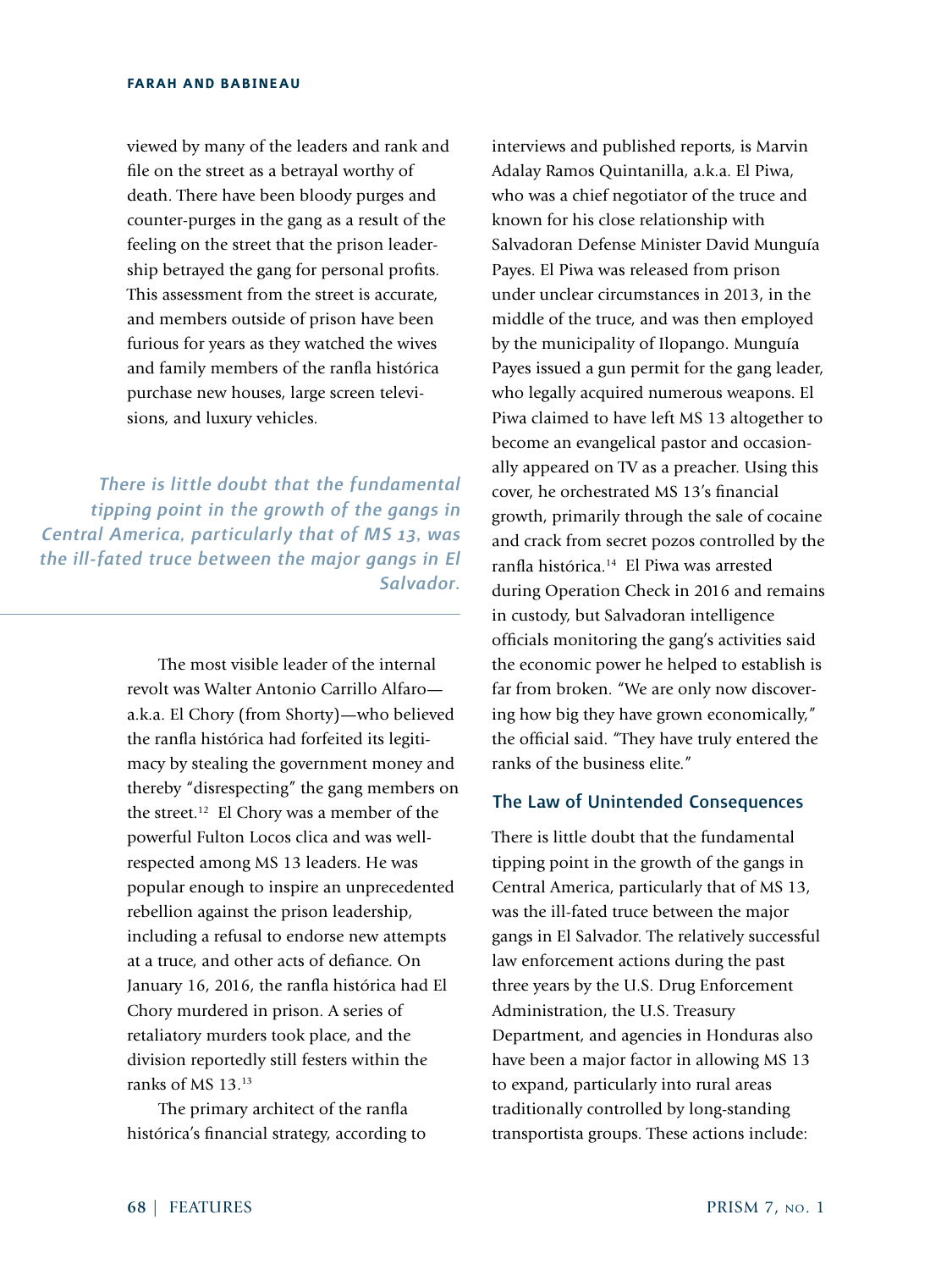viewed by many of the leaders and rank and file on the street as a betrayal worthy of death. There have been bloody purges and counter-purges in the gang as a result of the feeling on the street that the prison leadership betrayed the gang for personal profits. This assessment from the street is accurate, and members outside of prison have been furious for years as they watched the wives and family members of the ranfla histórica purchase new houses, large screen televisions, and luxury vehicles.

*There is little doubt that the fundamental tipping point in the growth of the gangs in Central America, particularly that of MS 13, was the ill-fated truce between the major gangs in El Salvador.*

> The most visible leader of the internal revolt was Walter Antonio Carrillo Alfaro a.k.a. El Chory (from Shorty)—who believed the ranfla histórica had forfeited its legitimacy by stealing the government money and thereby "disrespecting" the gang members on the street.12 El Chory was a member of the powerful Fulton Locos clica and was wellrespected among MS 13 leaders. He was popular enough to inspire an unprecedented rebellion against the prison leadership, including a refusal to endorse new attempts at a truce, and other acts of defiance. On January 16, 2016, the ranfla histórica had El Chory murdered in prison. A series of retaliatory murders took place, and the division reportedly still festers within the ranks of MS 13.13

The primary architect of the ranfla histórica's financial strategy, according to

interviews and published reports, is Marvin Adalay Ramos Quintanilla, a.k.a. El Piwa, who was a chief negotiator of the truce and known for his close relationship with Salvadoran Defense Minister David Munguía Payes. El Piwa was released from prison under unclear circumstances in 2013, in the middle of the truce, and was then employed by the municipality of Ilopango. Munguía Payes issued a gun permit for the gang leader, who legally acquired numerous weapons. El Piwa claimed to have left MS 13 altogether to become an evangelical pastor and occasionally appeared on TV as a preacher. Using this cover, he orchestrated MS 13's financial growth, primarily through the sale of cocaine and crack from secret pozos controlled by the ranfla histórica.14 El Piwa was arrested during Operation Check in 2016 and remains in custody, but Salvadoran intelligence officials monitoring the gang's activities said the economic power he helped to establish is far from broken. "We are only now discovering how big they have grown economically," the official said. "They have truly entered the ranks of the business elite."

# The Law of Unintended Consequences

There is little doubt that the fundamental tipping point in the growth of the gangs in Central America, particularly that of MS 13, was the ill-fated truce between the major gangs in El Salvador. The relatively successful law enforcement actions during the past three years by the U.S. Drug Enforcement Administration, the U.S. Treasury Department, and agencies in Honduras also have been a major factor in allowing MS 13 to expand, particularly into rural areas traditionally controlled by long-standing transportista groups. These actions include: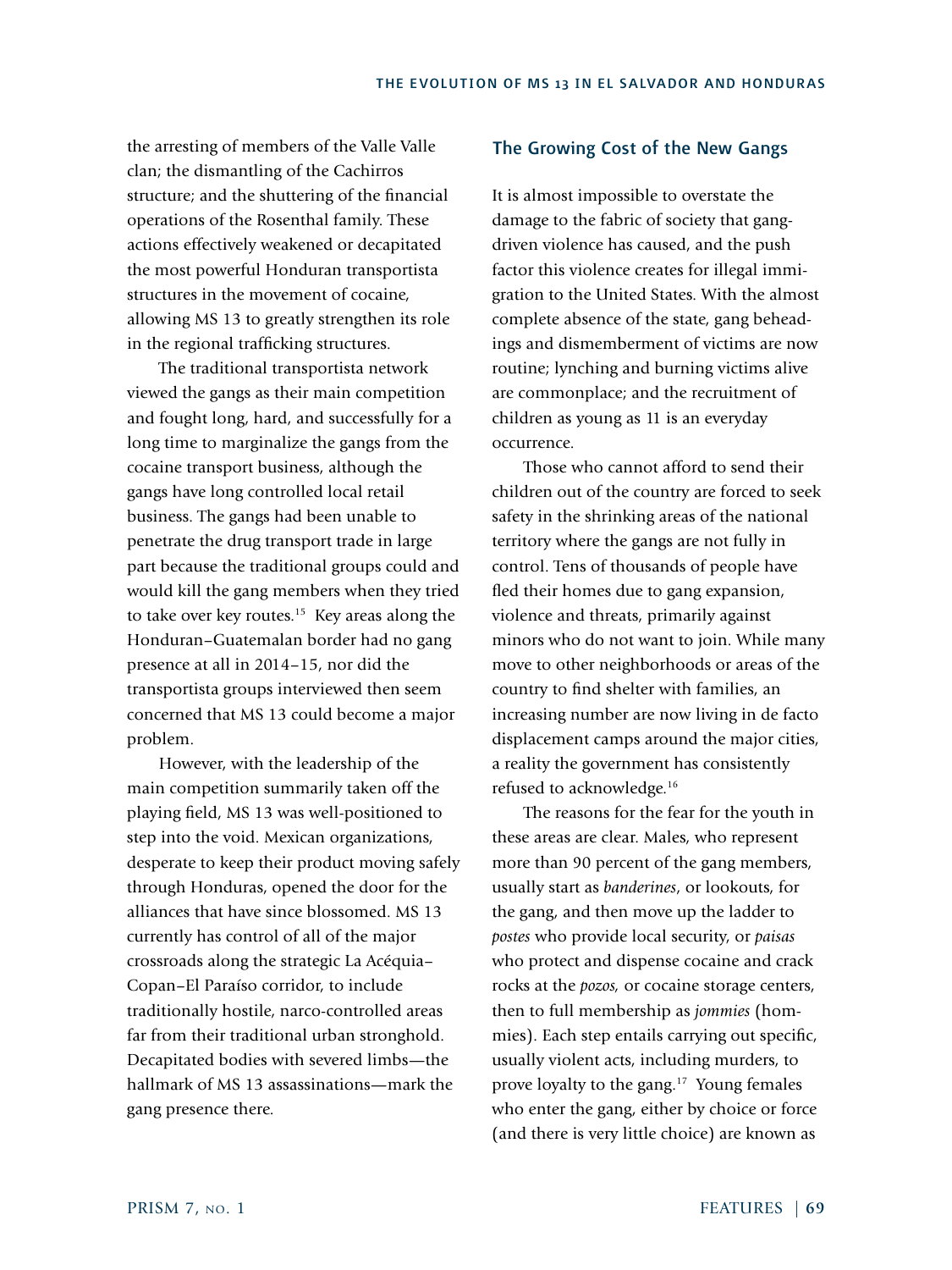the arresting of members of the Valle Valle clan; the dismantling of the Cachirros structure; and the shuttering of the financial operations of the Rosenthal family. These actions effectively weakened or decapitated the most powerful Honduran transportista structures in the movement of cocaine, allowing MS 13 to greatly strengthen its role in the regional trafficking structures.

The traditional transportista network viewed the gangs as their main competition and fought long, hard, and successfully for a long time to marginalize the gangs from the cocaine transport business, although the gangs have long controlled local retail business. The gangs had been unable to penetrate the drug transport trade in large part because the traditional groups could and would kill the gang members when they tried to take over key routes.<sup>15</sup> Key areas along the Honduran–Guatemalan border had no gang presence at all in 2014–15, nor did the transportista groups interviewed then seem concerned that MS 13 could become a major problem.

However, with the leadership of the main competition summarily taken off the playing field, MS 13 was well-positioned to step into the void. Mexican organizations, desperate to keep their product moving safely through Honduras, opened the door for the alliances that have since blossomed. MS 13 currently has control of all of the major crossroads along the strategic La Acéquia– Copan–El Paraíso corridor, to include traditionally hostile, narco-controlled areas far from their traditional urban stronghold. Decapitated bodies with severed limbs—the hallmark of MS 13 assassinations—mark the gang presence there.

# The Growing Cost of the New Gangs

It is almost impossible to overstate the damage to the fabric of society that gangdriven violence has caused, and the push factor this violence creates for illegal immigration to the United States. With the almost complete absence of the state, gang beheadings and dismemberment of victims are now routine; lynching and burning victims alive are commonplace; and the recruitment of children as young as 11 is an everyday occurrence.

Those who cannot afford to send their children out of the country are forced to seek safety in the shrinking areas of the national territory where the gangs are not fully in control. Tens of thousands of people have fled their homes due to gang expansion, violence and threats, primarily against minors who do not want to join. While many move to other neighborhoods or areas of the country to find shelter with families, an increasing number are now living in de facto displacement camps around the major cities, a reality the government has consistently refused to acknowledge.16

The reasons for the fear for the youth in these areas are clear. Males, who represent more than 90 percent of the gang members, usually start as *banderines*, or lookouts, for the gang, and then move up the ladder to *postes* who provide local security, or *paisas* who protect and dispense cocaine and crack rocks at the *pozos,* or cocaine storage centers, then to full membership as *jommies* (hommies). Each step entails carrying out specific, usually violent acts, including murders, to prove loyalty to the gang.<sup>17</sup> Young females who enter the gang, either by choice or force (and there is very little choice) are known as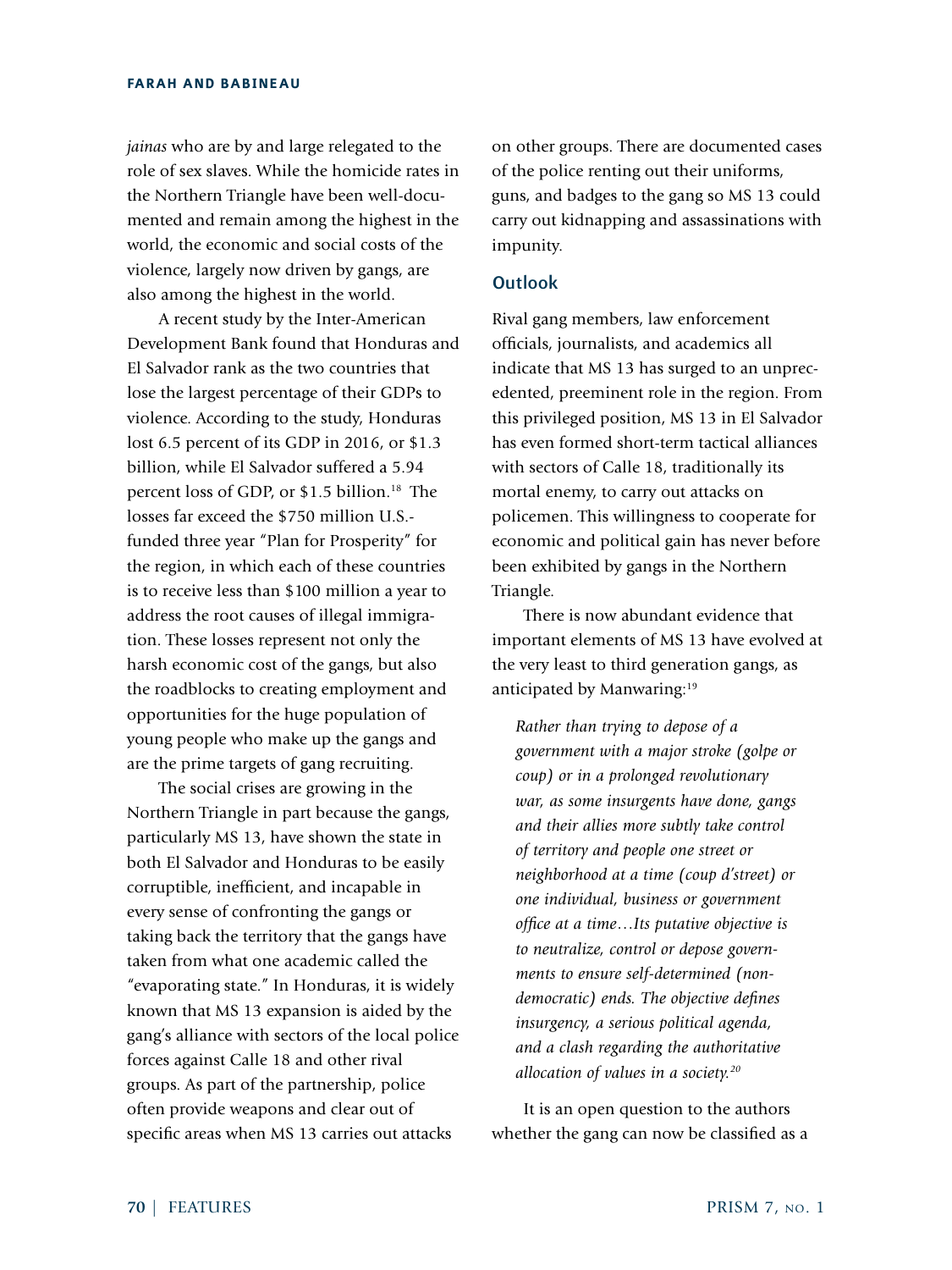*jainas* who are by and large relegated to the role of sex slaves. While the homicide rates in the Northern Triangle have been well-documented and remain among the highest in the world, the economic and social costs of the violence, largely now driven by gangs, are also among the highest in the world.

A recent study by the Inter-American Development Bank found that Honduras and El Salvador rank as the two countries that lose the largest percentage of their GDPs to violence. According to the study, Honduras lost 6.5 percent of its GDP in 2016, or \$1.3 billion, while El Salvador suffered a 5.94 percent loss of GDP, or \$1.5 billion.<sup>18</sup> The losses far exceed the \$750 million U.S. funded three year "Plan for Prosperity" for the region, in which each of these countries is to receive less than \$100 million a year to address the root causes of illegal immigration. These losses represent not only the harsh economic cost of the gangs, but also the roadblocks to creating employment and opportunities for the huge population of young people who make up the gangs and are the prime targets of gang recruiting.

The social crises are growing in the Northern Triangle in part because the gangs, particularly MS 13, have shown the state in both El Salvador and Honduras to be easily corruptible, inefficient, and incapable in every sense of confronting the gangs or taking back the territory that the gangs have taken from what one academic called the "evaporating state." In Honduras, it is widely known that MS 13 expansion is aided by the gang's alliance with sectors of the local police forces against Calle 18 and other rival groups. As part of the partnership, police often provide weapons and clear out of specific areas when MS 13 carries out attacks

on other groups. There are documented cases of the police renting out their uniforms, guns, and badges to the gang so MS 13 could carry out kidnapping and assassinations with impunity.

# **Outlook**

Rival gang members, law enforcement officials, journalists, and academics all indicate that MS 13 has surged to an unprecedented, preeminent role in the region. From this privileged position, MS 13 in El Salvador has even formed short-term tactical alliances with sectors of Calle 18, traditionally its mortal enemy, to carry out attacks on policemen. This willingness to cooperate for economic and political gain has never before been exhibited by gangs in the Northern Triangle.

There is now abundant evidence that important elements of MS 13 have evolved at the very least to third generation gangs, as anticipated by Manwaring:<sup>19</sup>

*Rather than trying to depose of a government with a major stroke (golpe or coup) or in a prolonged revolutionary war, as some insurgents have done, gangs and their allies more subtly take control of territory and people one street or neighborhood at a time (coup d'street) or one individual, business or government office at a time…Its putative objective is to neutralize, control or depose governments to ensure self-determined (nondemocratic) ends. The objective defines insurgency, a serious political agenda, and a clash regarding the authoritative allocation of values in a society.20*

It is an open question to the authors whether the gang can now be classified as a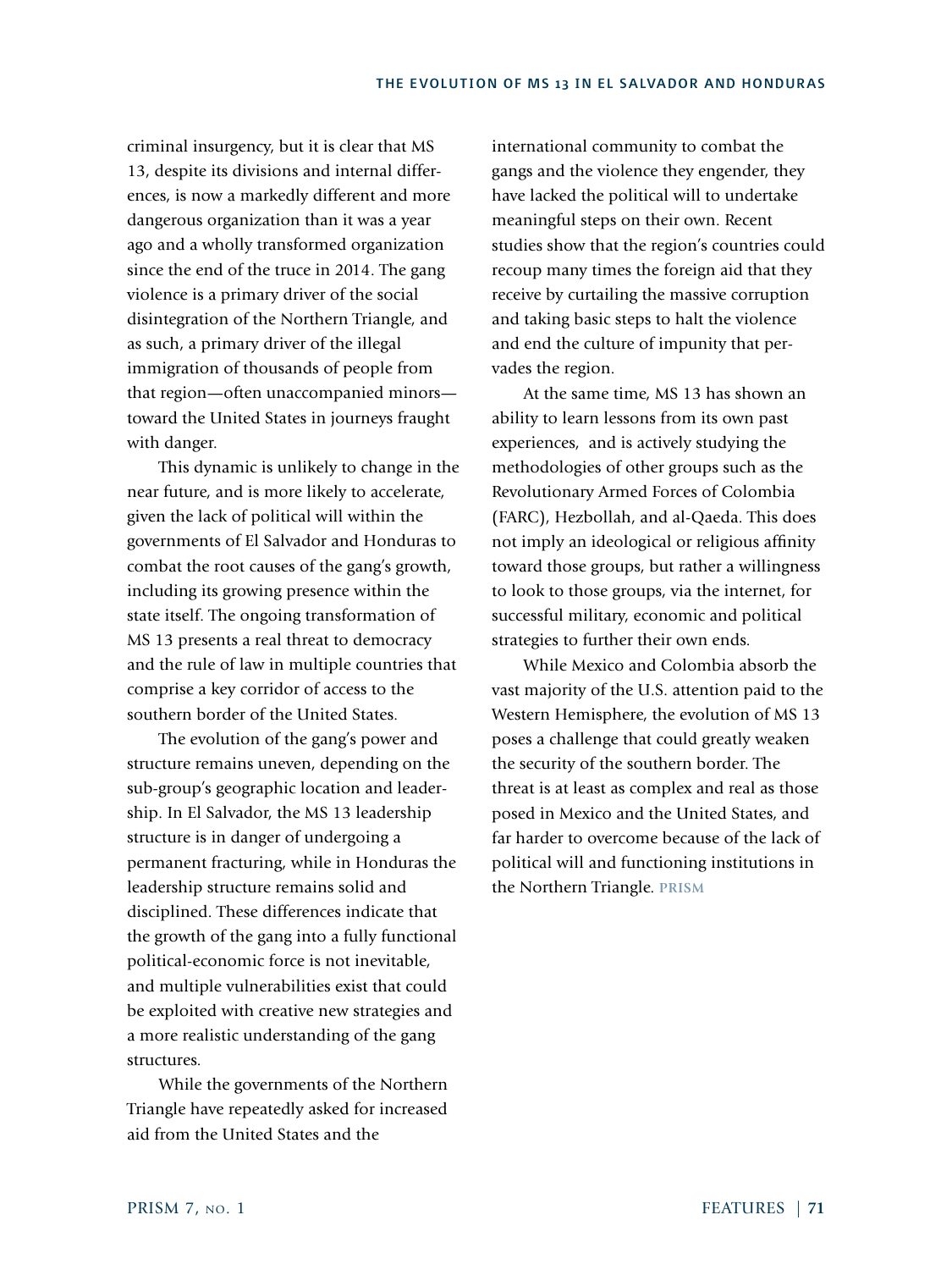criminal insurgency, but it is clear that MS 13, despite its divisions and internal differences, is now a markedly different and more dangerous organization than it was a year ago and a wholly transformed organization since the end of the truce in 2014. The gang violence is a primary driver of the social disintegration of the Northern Triangle, and as such, a primary driver of the illegal immigration of thousands of people from that region—often unaccompanied minors toward the United States in journeys fraught with danger.

This dynamic is unlikely to change in the near future, and is more likely to accelerate, given the lack of political will within the governments of El Salvador and Honduras to combat the root causes of the gang's growth, including its growing presence within the state itself. The ongoing transformation of MS 13 presents a real threat to democracy and the rule of law in multiple countries that comprise a key corridor of access to the southern border of the United States.

The evolution of the gang's power and structure remains uneven, depending on the sub-group's geographic location and leadership. In El Salvador, the MS 13 leadership structure is in danger of undergoing a permanent fracturing, while in Honduras the leadership structure remains solid and disciplined. These differences indicate that the growth of the gang into a fully functional political-economic force is not inevitable, and multiple vulnerabilities exist that could be exploited with creative new strategies and a more realistic understanding of the gang structures.

While the governments of the Northern Triangle have repeatedly asked for increased aid from the United States and the

international community to combat the gangs and the violence they engender, they have lacked the political will to undertake meaningful steps on their own. Recent studies show that the region's countries could recoup many times the foreign aid that they receive by curtailing the massive corruption and taking basic steps to halt the violence and end the culture of impunity that pervades the region.

At the same time, MS 13 has shown an ability to learn lessons from its own past experiences, and is actively studying the methodologies of other groups such as the Revolutionary Armed Forces of Colombia (FARC), Hezbollah, and al-Qaeda. This does not imply an ideological or religious affinity toward those groups, but rather a willingness to look to those groups, via the internet, for successful military, economic and political strategies to further their own ends.

While Mexico and Colombia absorb the vast majority of the U.S. attention paid to the Western Hemisphere, the evolution of MS 13 poses a challenge that could greatly weaken the security of the southern border. The threat is at least as complex and real as those posed in Mexico and the United States, and far harder to overcome because of the lack of political will and functioning institutions in the Northern Triangle. **PRISM**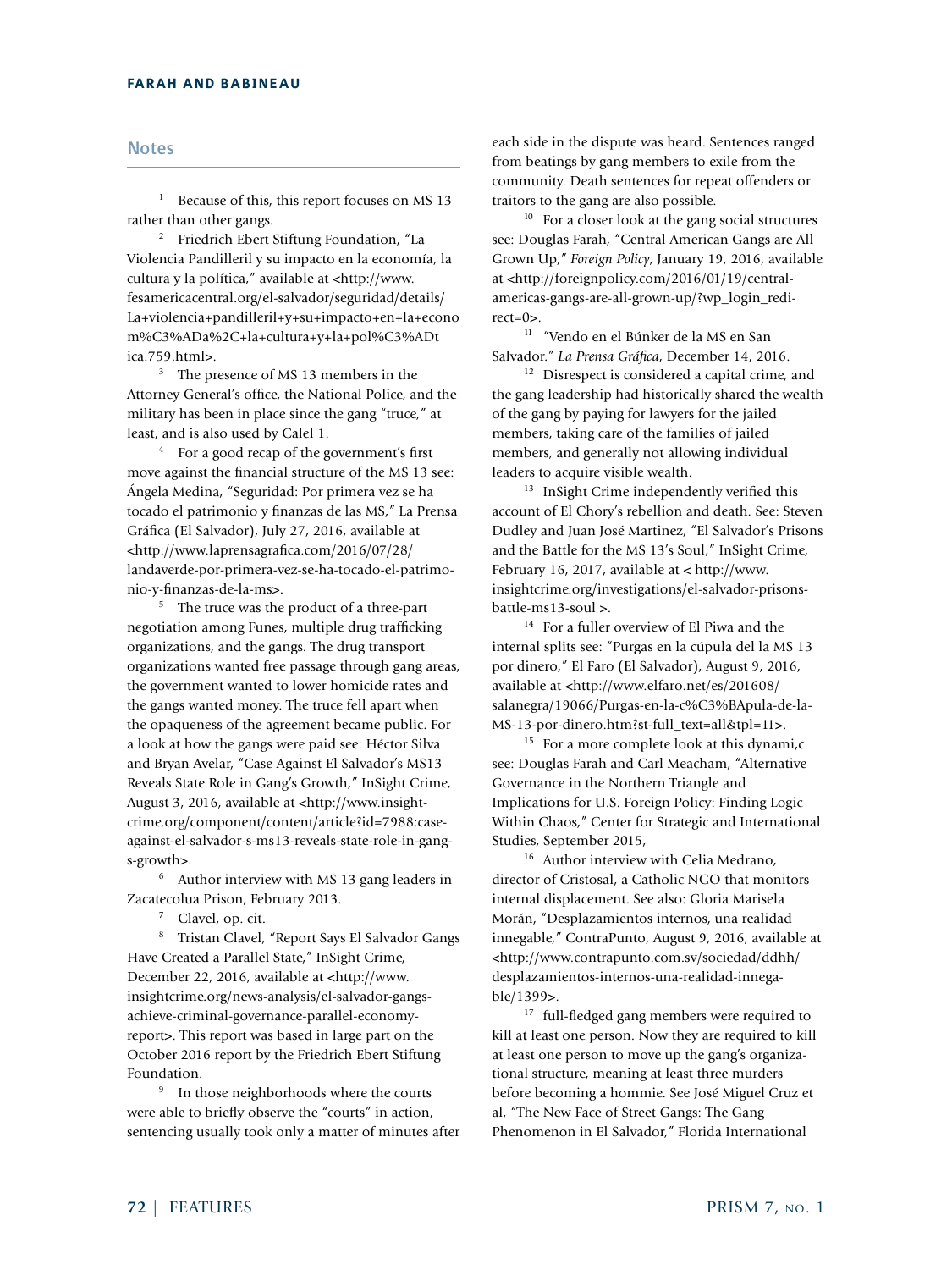#### **Notes**

<sup>1</sup> Because of this, this report focuses on MS 13 rather than other gangs.

<sup>2</sup> Friedrich Ebert Stiftung Foundation, "La Violencia Pandilleril y su impacto en la economía, la cultura y la política," available at <http://www. fesamericacentral.org/el-salvador/seguridad/details/ La+violencia+pandilleril+y+su+impacto+en+la+econo m%C3%ADa%2C+la+cultura+y+la+pol%C3%ADt ica.759.html>.

<sup>3</sup> The presence of MS 13 members in the Attorney General's office, the National Police, and the military has been in place since the gang "truce," at least, and is also used by Calel 1.

<sup>4</sup> For a good recap of the government's first move against the financial structure of the MS 13 see: Ángela Medina, "Seguridad: Por primera vez se ha tocado el patrimonio y finanzas de las MS," La Prensa Gráfica (El Salvador), July 27, 2016, available at <http://www.laprensagrafica.com/2016/07/28/ landaverde-por-primera-vez-se-ha-tocado-el-patrimonio-y-finanzas-de-la-ms>.

<sup>5</sup> The truce was the product of a three-part negotiation among Funes, multiple drug trafficking organizations, and the gangs. The drug transport organizations wanted free passage through gang areas, the government wanted to lower homicide rates and the gangs wanted money. The truce fell apart when the opaqueness of the agreement became public. For a look at how the gangs were paid see: Héctor Silva and Bryan Avelar, "Case Against El Salvador's MS13 Reveals State Role in Gang's Growth," InSight Crime, August 3, 2016, available at <http://www.insightcrime.org/component/content/article?id=7988:caseagainst-el-salvador-s-ms13-reveals-state-role-in-gangs-growth>.

<sup>6</sup> Author interview with MS 13 gang leaders in Zacatecolua Prison, February 2013.

<sup>7</sup> Clavel, op. cit.

<sup>8</sup> Tristan Clavel, "Report Says El Salvador Gangs Have Created a Parallel State," InSight Crime, December 22, 2016, available at <http://www. insightcrime.org/news-analysis/el-salvador-gangsachieve-criminal-governance-parallel-economyreport>. This report was based in large part on the October 2016 report by the Friedrich Ebert Stiftung Foundation.

<sup>9</sup> In those neighborhoods where the courts were able to briefly observe the "courts" in action, sentencing usually took only a matter of minutes after each side in the dispute was heard. Sentences ranged from beatings by gang members to exile from the community. Death sentences for repeat offenders or traitors to the gang are also possible.

 $10$  For a closer look at the gang social structures see: Douglas Farah, "Central American Gangs are All Grown Up," *Foreign Policy*, January 19, 2016, available at <http://foreignpolicy.com/2016/01/19/centralamericas-gangs-are-all-grown-up/?wp\_login\_redirect=0>.

<sup>11</sup> "Vendo en el Búnker de la MS en San Salvador." *La Prensa Gráfica*, December 14, 2016.

 $12$  Disrespect is considered a capital crime, and the gang leadership had historically shared the wealth of the gang by paying for lawyers for the jailed members, taking care of the families of jailed members, and generally not allowing individual leaders to acquire visible wealth.

<sup>13</sup> InSight Crime independently verified this account of El Chory's rebellion and death. See: Steven Dudley and Juan José Martinez, "El Salvador's Prisons and the Battle for the MS 13's Soul," InSight Crime, February 16, 2017, available at < http://www. insightcrime.org/investigations/el-salvador-prisonsbattle-ms13-soul >.

<sup>14</sup> For a fuller overview of El Piwa and the internal splits see: "Purgas en la cúpula del la MS 13 por dinero," El Faro (El Salvador), August 9, 2016, available at <http://www.elfaro.net/es/201608/ salanegra/19066/Purgas-en-la-c%C3%BApula-de-la-MS-13-por-dinero.htm?st-full\_text=all&tpl=11>.

<sup>15</sup> For a more complete look at this dynami,c see: Douglas Farah and Carl Meacham, "Alternative Governance in the Northern Triangle and Implications for U.S. Foreign Policy: Finding Logic Within Chaos," Center for Strategic and International Studies, September 2015,

<sup>16</sup> Author interview with Celia Medrano, director of Cristosal, a Catholic NGO that monitors internal displacement. See also: Gloria Marisela Morán, "Desplazamientos internos, una realidad innegable," ContraPunto, August 9, 2016, available at <http://www.contrapunto.com.sv/sociedad/ddhh/ desplazamientos-internos-una-realidad-innegable/1399>.

<sup>17</sup> full-fledged gang members were required to kill at least one person. Now they are required to kill at least one person to move up the gang's organizational structure, meaning at least three murders before becoming a hommie. See José Miguel Cruz et al, "The New Face of Street Gangs: The Gang Phenomenon in El Salvador," Florida International